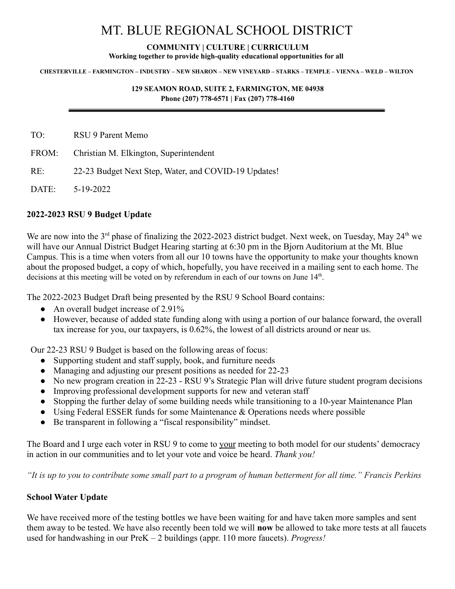# MT. BLUE REGIONAL SCHOOL DISTRICT

## **COMMUNITY | CULTURE | CURRICULUM**

**Working together to provide high-quality educational opportunities for all**

#### CHESTERVILLE – FARMINGTON – INDUSTRY – NEW SHARON – NEW VINEYARD – STARKS – TEMPLE – VIENNA – WELD – WILTON

#### **129 SEAMON ROAD, SUITE 2, FARMINGTON, ME 04938 Phone (207) 778-6571 | Fax (207) 778-4160**

TO: RSU 9 Parent Memo

- FROM: Christian M. Elkington, Superintendent
- RE: 22-23 Budget Next Step, Water, and COVID-19 Updates!

DATE: 5-19-2022

### **2022-2023 RSU 9 Budget Update**

We are now into the 3<sup>rd</sup> phase of finalizing the 2022-2023 district budget. Next week, on Tuesday, May 24<sup>th</sup> we will have our Annual District Budget Hearing starting at 6:30 pm in the Bjorn Auditorium at the Mt. Blue Campus. This is a time when voters from all our 10 towns have the opportunity to make your thoughts known about the proposed budget, a copy of which, hopefully, you have received in a mailing sent to each home. The decisions at this meeting will be voted on by referendum in each of our towns on June  $14<sup>th</sup>$ .

The 2022-2023 Budget Draft being presented by the RSU 9 School Board contains:

- An overall budget increase of 2.91%
- However, because of added state funding along with using a portion of our balance forward, the overall tax increase for you, our taxpayers, is 0.62%, the lowest of all districts around or near us.

Our 22-23 RSU 9 Budget is based on the following areas of focus:

- Supporting student and staff supply, book, and furniture needs
- Managing and adjusting our present positions as needed for 22-23
- No new program creation in 22-23 RSU 9's Strategic Plan will drive future student program decisions
- Improving professional development supports for new and veteran staff
- Stopping the further delay of some building needs while transitioning to a 10-year Maintenance Plan
- Using Federal ESSER funds for some Maintenance & Operations needs where possible
- Be transparent in following a "fiscal responsibility" mindset.

The Board and I urge each voter in RSU 9 to come to your meeting to both model for our students' democracy in action in our communities and to let your vote and voice be heard. *Thank you!*

*"It is up to you to contribute some small part to a program of human betterment for all time." Francis Perkins*

## **School Water Update**

We have received more of the testing bottles we have been waiting for and have taken more samples and sent them away to be tested. We have also recently been told we will **now** be allowed to take more tests at all faucets used for handwashing in our PreK – 2 buildings (appr. 110 more faucets). *Progress!*